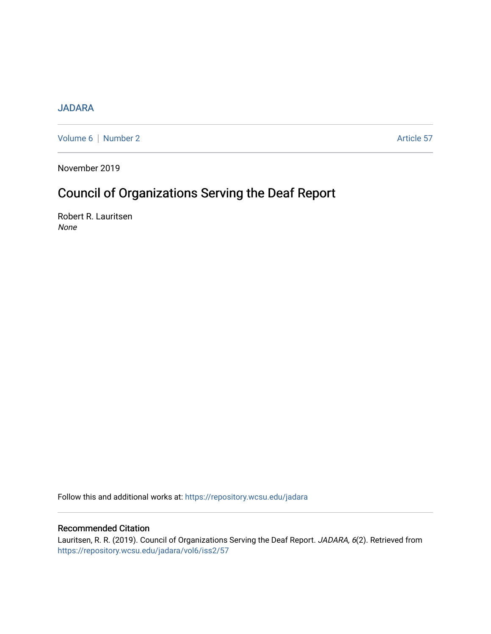## [JADARA](https://repository.wcsu.edu/jadara)

[Volume 6](https://repository.wcsu.edu/jadara/vol6) | [Number 2](https://repository.wcsu.edu/jadara/vol6/iss2) Article 57

November 2019

# Council of Organizations Serving the Deaf Report

Robert R. Lauritsen None

Follow this and additional works at: [https://repository.wcsu.edu/jadara](https://repository.wcsu.edu/jadara?utm_source=repository.wcsu.edu%2Fjadara%2Fvol6%2Fiss2%2F57&utm_medium=PDF&utm_campaign=PDFCoverPages)

### Recommended Citation

Lauritsen, R. R. (2019). Council of Organizations Serving the Deaf Report. JADARA, 6(2). Retrieved from [https://repository.wcsu.edu/jadara/vol6/iss2/57](https://repository.wcsu.edu/jadara/vol6/iss2/57?utm_source=repository.wcsu.edu%2Fjadara%2Fvol6%2Fiss2%2F57&utm_medium=PDF&utm_campaign=PDFCoverPages)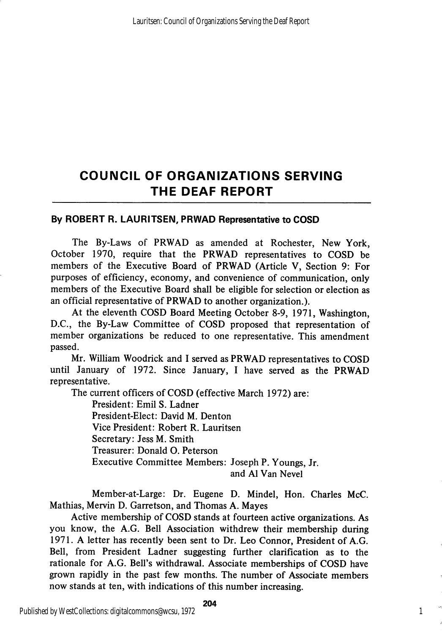# COUNCIL OF ORGANIZATIONS SERVING THE DEAF REPORT

### By ROBERT R. LAURITSEN, PRWAD Representative to COSD

The By-Laws of PRWAD as amended at Rochester, New York, October 1970, require that the PRWAD representatives to COSD be members of the Executive Board of PRWAD (Article V, Section 9: For purposes of efficiency, economy, and convenience of communication, only members of the Executive Board shall be eligible for selection or election as an official representative of PRWAD to another organization.).

At the eleventh COSD Board Meeting October 8-9, 1971, Washington, D.C., the By-Law Committee of COSD proposed that representation of member organizations be reduced to one representative. This amendment passed.

Mr. William Woodrick and I served as PRWAD representatives to COSD until January of 1972. Since January, I have served as the PRWAD representative.

The current officers of COSD (effective March 1972) are:

President: Emil S. Ladner President-Elect: David M. Denton Vice President: Robert R. Lauritsen Secretary: Jess M. Smith Treasurer: Donald O. Peterson Executive Committee Members: Joseph P. Youngs, Jr. and A1 Van Nevel

Member-at-Large: Dr. Eugene D. Mindel, Hon. Charles McC. Mathias, Mervin D. Garretson, and Thomas A. Mayes

Active membership of COSD stands at fourteen active organizations. As you know, the A.G. Bell Association withdrew their membership during 1971. A letter has recently been sent to Dr. Leo Connor, President of A.G. Bell, from President Ladner suggesting further clarification as to the rationale for A.G. Bell's withdrawal. Associate memberships of COSD have grown rapidly in the past few months. The number of Associate members now stands at ten, with indications of this number increasing.

204